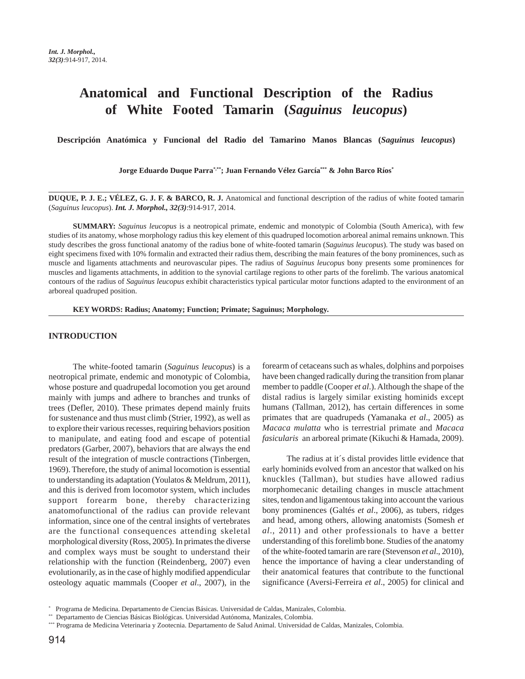# **Anatomical and Functional Description of the Radius of White Footed Tamarin (***Saguinus leucopus***)**

**Descripción Anatómica y Funcional del Radio del Tamarino Manos Blancas (***Saguinus leucopus***)**

**Jorge Eduardo Duque Parra\*,\*\*; Juan Fernando Vélez García\*\*\* & John Barco Ríos\***

**DUQUE, P. J. E.; VÉLEZ, G. J. F. & BARCO, R. J.** Anatomical and functional description of the radius of white footed tamarin (*Saguinus leucopus*). *Int. J. Morphol., 32(3)*:914-917, 2014.

**SUMMARY:** *Saguinus leucopus* is a neotropical primate, endemic and monotypic of Colombia (South America), with few studies of its anatomy, whose morphology radius this key element of this quadruped locomotion arboreal animal remains unknown. This study describes the gross functional anatomy of the radius bone of white-footed tamarin (*Saguinus leucopus*). The study was based on eight specimens fixed with 10% formalin and extracted their radius them, describing the main features of the bony prominences, such as muscle and ligaments attachments and neurovascular pipes. The radius of *Saguinus leucopus* bony presents some prominences for muscles and ligaments attachments, in addition to the synovial cartilage regions to other parts of the forelimb. The various anatomical contours of the radius of *Saguinus leucopus* exhibit characteristics typical particular motor functions adapted to the environment of an arboreal quadruped position.

**KEY WORDS: Radius; Anatomy; Function; Primate; Saguinus; Morphology.**

## **INTRODUCTION**

The white-footed tamarin (*Saguinus leucopus*) is a neotropical primate, endemic and monotypic of Colombia, whose posture and quadrupedal locomotion you get around mainly with jumps and adhere to branches and trunks of trees (Defler, 2010). These primates depend mainly fruits for sustenance and thus must climb (Strier, 1992), as well as to explore their various recesses, requiring behaviors position to manipulate, and eating food and escape of potential predators (Garber, 2007), behaviors that are always the end result of the integration of muscle contractions (Tinbergen, 1969). Therefore, the study of animal locomotion is essential to understanding its adaptation (Youlatos & Meldrum, 2011), and this is derived from locomotor system, which includes support forearm bone, thereby characterizing anatomofunctional of the radius can provide relevant information, since one of the central insights of vertebrates are the functional consequences attending skeletal morphological diversity (Ross, 2005). In primates the diverse and complex ways must be sought to understand their relationship with the function (Reindenberg, 2007) even evolutionarily, as in the case of highly modified appendicular osteology aquatic mammals (Cooper *et al*., 2007), in the

forearm of cetaceans such as whales, dolphins and porpoises have been changed radically during the transition from planar member to paddle (Cooper *et al*.). Although the shape of the distal radius is largely similar existing hominids except humans (Tallman, 2012), has certain differences in some primates that are quadrupeds (Yamanaka *et al*., 2005) as *Macaca mulatta* who is terrestrial primate and *Macaca fasicularis* an arboreal primate (Kikuchi & Hamada, 2009).

The radius at it´s distal provides little evidence that early hominids evolved from an ancestor that walked on his knuckles (Tallman), but studies have allowed radius morphomecanic detailing changes in muscle attachment sites, tendon and ligamentous taking into account the various bony prominences (Galtés *et al*., 2006), as tubers, ridges and head, among others, allowing anatomists (Somesh *et al*., 2011) and other professionals to have a better understanding of this forelimb bone. Studies of the anatomy of the white-footed tamarin are rare (Stevenson *et al*., 2010), hence the importance of having a clear understanding of their anatomical features that contribute to the functional significance (Aversi-Ferreira *et al*., 2005) for clinical and

<sup>\*</sup> Programa de Medicina. Departamento de Ciencias Básicas. Universidad de Caldas, Manizales, Colombia.

<sup>\*\*</sup> Departamento de Ciencias Básicas Biológicas. Universidad Autónoma, Manizales, Colombia.

<sup>\*\*\*</sup> Programa de Medicina Veterinaria y Zootecnia. Departamento de Salud Animal. Universidad de Caldas, Manizales, Colombia.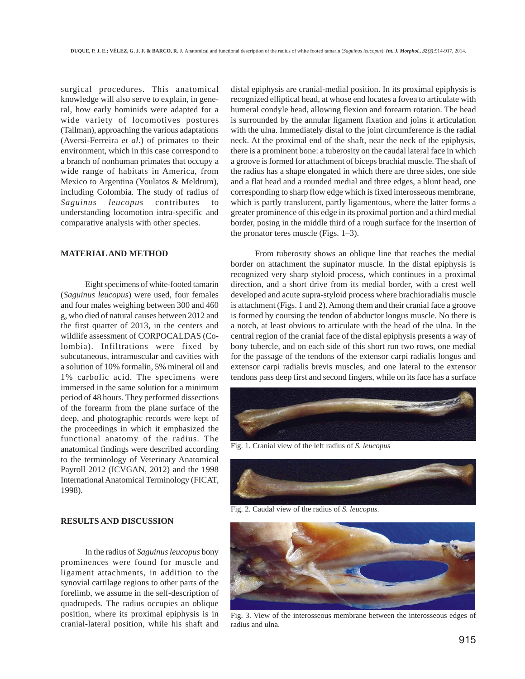surgical procedures. This anatomical knowledge will also serve to explain, in general, how early hominids were adapted for a wide variety of locomotives postures (Tallman), approaching the various adaptations (Aversi-Ferreira *et al*.) of primates to their environment, which in this case correspond to a branch of nonhuman primates that occupy a wide range of habitats in America, from Mexico to Argentina (Youlatos & Meldrum), including Colombia. The study of radius of *Saguinus leucopus* contributes to understanding locomotion intra-specific and comparative analysis with other species.

## **MATERIAL AND METHOD**

Eight specimens of white-footed tamarin (*Saguinus leucopus*) were used, four females and four males weighing between 300 and 460 g, who died of natural causes between 2012 and the first quarter of 2013, in the centers and wildlife assessment of CORPOCALDAS (Colombia). Infiltrations were fixed by subcutaneous, intramuscular and cavities with a solution of 10% formalin, 5% mineral oil and 1% carbolic acid. The specimens were immersed in the same solution for a minimum period of 48 hours. They performed dissections of the forearm from the plane surface of the deep, and photographic records were kept of the proceedings in which it emphasized the functional anatomy of the radius. The anatomical findings were described according to the terminology of Veterinary Anatomical Payroll 2012 (ICVGAN, 2012) and the 1998 International Anatomical Terminology (FICAT, 1998).

#### **RESULTS AND DISCUSSION**

In the radius of *Saguinus leucopus* bony prominences were found for muscle and ligament attachments, in addition to the synovial cartilage regions to other parts of the forelimb, we assume in the self-description of quadrupeds. The radius occupies an oblique position, where its proximal epiphysis is in cranial-lateral position, while his shaft and

distal epiphysis are cranial-medial position. In its proximal epiphysis is recognized elliptical head, at whose end locates a fovea to articulate with humeral condyle head, allowing flexion and forearm rotation. The head is surrounded by the annular ligament fixation and joins it articulation with the ulna. Immediately distal to the joint circumference is the radial neck. At the proximal end of the shaft, near the neck of the epiphysis, there is a prominent bone: a tuberosity on the caudal lateral face in which a groove is formed for attachment of biceps brachial muscle. The shaft of the radius has a shape elongated in which there are three sides, one side and a flat head and a rounded medial and three edges, a blunt head, one corresponding to sharp flow edge which is fixed interosseous membrane, which is partly translucent, partly ligamentous, where the latter forms a greater prominence of this edge in its proximal portion and a third medial border, posing in the middle third of a rough surface for the insertion of the pronator teres muscle (Figs. 1–3).

From tuberosity shows an oblique line that reaches the medial border on attachment the supinator muscle. In the distal epiphysis is recognized very sharp styloid process, which continues in a proximal direction, and a short drive from its medial border, with a crest well developed and acute supra-styloid process where brachioradialis muscle is attachment (Figs. 1 and 2). Among them and their cranial face a groove is formed by coursing the tendon of abductor longus muscle. No there is a notch, at least obvious to articulate with the head of the ulna. In the central region of the cranial face of the distal epiphysis presents a way of bony tubercle, and on each side of this short run two rows, one medial for the passage of the tendons of the extensor carpi radialis longus and extensor carpi radialis brevis muscles, and one lateral to the extensor tendons pass deep first and second fingers, while on its face has a surface



Fig. 1. Cranial view of the left radius of *S. leucopus*



Fig. 2. Caudal view of the radius of *S. leucopus.*



Fig. 3. View of the interosseous membrane between the interosseous edges of radius and ulna.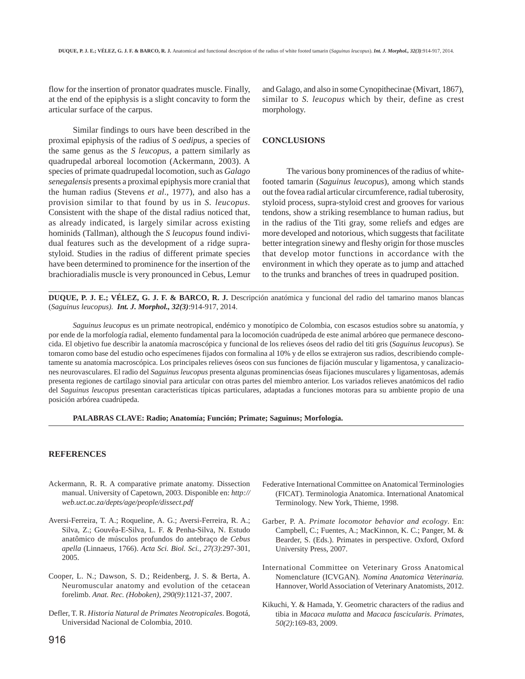flow for the insertion of pronator quadrates muscle. Finally, at the end of the epiphysis is a slight concavity to form the articular surface of the carpus.

Similar findings to ours have been described in the proximal epiphysis of the radius of *S oedipus*, a species of the same genus as the *S leucopus*, a pattern similarly as quadrupedal arboreal locomotion (Ackermann, 2003). A species of primate quadrupedal locomotion, such as *Galago senegalensis* presents a proximal epiphysis more cranial that the human radius (Stevens *et al*., 1977), and also has a provision similar to that found by us in *S. leucopus.* Consistent with the shape of the distal radius noticed that, as already indicated, is largely similar across existing hominids (Tallman), although the *S leucopus* found individual features such as the development of a ridge suprastyloid. Studies in the radius of different primate species have been determined to prominence for the insertion of the brachioradialis muscle is very pronounced in Cebus, Lemur

and Galago, and also in some Cynopithecinae (Mivart, 1867), similar to *S. leucopus* which by their, define as crest morphology.

# **CONCLUSIONS**

The various bony prominences of the radius of whitefooted tamarin (*Saguinus leucopus*), among which stands out the fovea radial articular circumference, radial tuberosity, styloid process, supra-styloid crest and grooves for various tendons, show a striking resemblance to human radius, but in the radius of the Titi gray, some reliefs and edges are more developed and notorious, which suggests that facilitate better integration sinewy and fleshy origin for those muscles that develop motor functions in accordance with the environment in which they operate as to jump and attached to the trunks and branches of trees in quadruped position.

**DUQUE, P. J. E.; VÉLEZ, G. J. F. & BARCO, R. J.** Descripción anatómica y funcional del radio del tamarino manos blancas (*Saguinus leucopus). Int. J. Morphol., 32(3)*:914-917, 2014.

*Saguinus leucopus* es un primate neotropical, endémico y monotípico de Colombia, con escasos estudios sobre su anatomía, y por ende de la morfología radial, elemento fundamental para la locomoción cuadrúpeda de este animal arbóreo que permanece desconocida. El objetivo fue describir la anatomía macroscópica y funcional de los relieves óseos del radio del titi gris (*Saguinus leucopus*). Se tomaron como base del estudio ocho especímenes fijados con formalina al 10% y de ellos se extrajeron sus radios, describiendo completamente su anatomía macroscópica. Los principales relieves óseos con sus funciones de fijación muscular y ligamentosa, y canalizaciones neurovasculares. El radio del *Saguinus leucopus* presenta algunas prominencias óseas fijaciones musculares y ligamentosas, además presenta regiones de cartílago sinovial para articular con otras partes del miembro anterior. Los variados relieves anatómicos del radio del *Saguinus leucopus* presentan características típicas particulares, adaptadas a funciones motoras para su ambiente propio de una posición arbórea cuadrúpeda.

**PALABRAS CLAVE: Radio; Anatomía; Función; Primate; Saguinus; Morfología.**

## **REFERENCES**

- Ackermann, R. R. A comparative primate anatomy. Dissection manual. University of Capetown, 2003. Disponible en: *http:// web.uct.ac.za/depts/age/people/dissect.pdf*
- Aversi-Ferreira, T. A.; Roqueline, A. G.; Aversi-Ferreira, R. A.; Silva, Z.; Gouvêa-E-Silva, L. F. & Penha-Silva, N. Estudo anatômico de músculos profundos do antebraço de *Cebus apella* (Linnaeus, 1766). *Acta Sci. Biol. Sci., 27(3)*:297-301, 2005.
- Cooper, L. N.; Dawson, S. D.; Reidenberg, J. S. & Berta, A. Neuromuscular anatomy and evolution of the cetacean forelimb. *Anat. Rec. (Hoboken), 290(9)*:1121-37, 2007.
- Defler, T. R. *Historia Natural de Primates Neotropicales*. Bogotá, Universidad Nacional de Colombia, 2010.
- Federative International Committee on Anatomical Terminologies (FICAT). Terminologia Anatomica. International Anatomical Terminology. New York, Thieme, 1998.
- Garber, P. A. *Primate locomotor behavior and ecology*. En: Campbell, C.; Fuentes, A.; MacKinnon, K. C.; Panger, M. & Bearder, S. (Eds.). Primates in perspective. Oxford, Oxford University Press, 2007.
- International Committee on Veterinary Gross Anatomical Nomenclature (ICVGAN). *Nomina Anatomica Veterinaria.* Hannover, World Association of Veterinary Anatomists, 2012.
- Kikuchi, Y. & Hamada, Y. Geometric characters of the radius and tibia in *Macaca mulatta* and *Macaca fascicularis*. *Primates, 50(2)*:169-83, 2009.